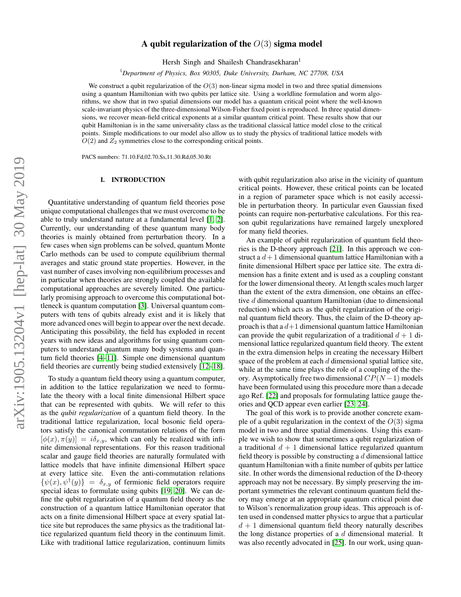# arXiv:1905.13204v1 [hep-lat] 30 May 2019 arXiv:1905.13204v1 [hep-lat] 30 May 2019

# A qubit regularization of the  $O(3)$  sigma model

Hersh Singh and Shailesh Chandrasekharan<sup>1</sup>

<sup>1</sup>*Department of Physics, Box 90305, Duke University, Durham, NC 27708, USA*

We construct a qubit regularization of the  $O(3)$  non-linear sigma model in two and three spatial dimensions using a quantum Hamiltonian with two qubits per lattice site. Using a worldline formulation and worm algorithms, we show that in two spatial dimensions our model has a quantum critical point where the well-known scale-invariant physics of the three-dimensional Wilson-Fisher fixed point is reproduced. In three spatial dimensions, we recover mean-field critical exponents at a similar quantum critical point. These results show that our qubit Hamiltonian is in the same universality class as the traditional classical lattice model close to the critical points. Simple modifications to our model also allow us to study the physics of traditional lattice models with  $O(2)$  and  $Z_2$  symmetries close to the corresponding critical points.

PACS numbers: 71.10.Fd,02.70.Ss,11.30.Rd,05.30.Rt

### I. INTRODUCTION

Quantitative understanding of quantum field theories pose unique computational challenges that we must overcome to be able to truly understand nature at a fundamental level [\[1,](#page-10-0) [2\]](#page-10-1). Currently, our understanding of these quantum many body theories is mainly obtained from perturbation theory. In a few cases when sign problems can be solved, quantum Monte Carlo methods can be used to compute equilibrium thermal averages and static ground state properties. However, in the vast number of cases involving non-equilibrium processes and in particular when theories are strongly coupled the available computational approaches are severely limited. One particularly promising approach to overcome this computational bottleneck is quantum computation [\[3\]](#page-11-0). Universal quantum computers with tens of qubits already exist and it is likely that more advanced ones will begin to appear over the next decade. Anticipating this possibility, the field has exploded in recent years with new ideas and algorithms for using quantum computers to understand quantum many body systems and quantum field theories [\[4–](#page-11-1)[11\]](#page-12-0). Simple one dimensional quantum field theories are currently being studied extensively [\[12–](#page-12-1)[18\]](#page-12-2).

To study a quantum field theory using a quantum computer, in addition to the lattice regularization we need to formulate the theory with a local finite dimensional Hilbert space that can be represented with qubits. We will refer to this as the *qubit regularization* of a quantum field theory. In the traditional lattice regularization, local bosonic field operators satisfy the canonical commutation relations of the form  $[\phi(x), \pi(y)] = i\delta_{x,y}$ , which can only be realized with infinite dimensional representations. For this reason traditional scalar and gauge field theories are naturally formulated with lattice models that have infinite dimensional Hilbert space at every lattice site. Even the anti-commutation relations  $\{\psi(x), \psi^{\dagger}(y)\} = \delta_{x,y}$  of fermionic field operators require special ideas to formulate using qubits [\[19,](#page-12-3) [20\]](#page-12-4). We can define the qubit regularization of a quantum field theory as the construction of a quantum lattice Hamiltonian operator that acts on a finite dimensional Hilbert space at every spatial lattice site but reproduces the same physics as the traditional lattice regularized quantum field theory in the continuum limit. Like with traditional lattice regularization, continuum limits

with qubit regularization also arise in the vicinity of quantum critical points. However, these critical points can be located in a region of parameter space which is not easily accessible in perturbation theory. In particular even Gaussian fixed points can require non-perturbative calculations. For this reason qubit regularizations have remained largely unexplored for many field theories.

An example of qubit regularization of quantum field theories is the D-theory approach [\[21\]](#page-12-5). In this approach we construct a  $d+1$  dimensional quantum lattice Hamiltonian with a finite dimensional Hilbert space per lattice site. The extra dimension has a finite extent and is used as a coupling constant for the lower dimensional theory. At length scales much larger than the extent of the extra dimension, one obtains an effective d dimensional quantum Hamiltonian (due to dimensional reduction) which acts as the qubit regularization of the original quantum field theory. Thus, the claim of the D-theory approach is that a  $d+1$  dimensional quantum lattice Hamiltonian can provide the qubit regularization of a traditional  $d + 1$  dimensional lattice regularized quantum field theory. The extent in the extra dimension helps in creating the necessary Hilbert space of the problem at each  $d$  dimensional spatial lattice site, while at the same time plays the role of a coupling of the theory. Asymptotically free two dimensional  $CP(N-1)$  models have been formulated using this procedure more than a decade ago Ref. [\[22\]](#page-12-6) and proposals for formulating lattice gauge theories and QCD appear even earlier [\[23,](#page-12-7) [24\]](#page-12-8).

The goal of this work is to provide another concrete example of a qubit regularization in the context of the  $O(3)$  sigma model in two and three spatial dimensions. Using this example we wish to show that sometimes a qubit regularization of a traditional  $d + 1$  dimensional lattice regularized quantum field theory is possible by constructing a  $d$  dimensional lattice quantum Hamiltonian with a finite number of qubits per lattice site. In other words the dimensional reduction of the D-theory approach may not be necessary. By simply preserving the important symmetries the relevant continuum quantum field theory may emerge at an appropriate quantum critical point due to Wilson's renormalization group ideas. This approach is often used in condensed matter physics to argue that a particular  $d + 1$  dimensional quantum field theory naturally describes the long distance properties of a  $d$  dimensional material. It was also recently advocated in [\[25\]](#page-12-9). In our work, using quan-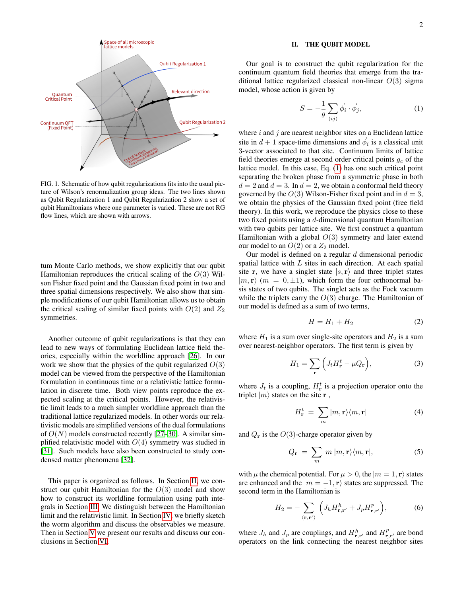

FIG. 1. Schematic of how qubit regularizations fits into the usual picture of Wilson's renormalization group ideas. The two lines shown as Qubit Regulatization 1 and Qubit Regularization 2 show a set of qubit Hamiltonians where one parameter is varied. These are not RG flow lines, which are shown with arrows.

tum Monte Carlo methods, we show explicitly that our qubit Hamiltonian reproduces the critical scaling of the  $O(3)$  Wilson Fisher fixed point and the Gaussian fixed point in two and three spatial dimensions respectively. We also show that simple modifications of our qubit Hamiltonian allows us to obtain the critical scaling of similar fixed points with  $O(2)$  and  $Z_2$ symmetries.

Another outcome of qubit regularizations is that they can lead to new ways of formulating Euclidean lattice field theories, especially within the worldline approach [\[26\]](#page-12-10). In our work we show that the physics of the qubit regularized  $O(3)$ model can be viewed from the perspective of the Hamiltonian formulation in continuous time or a relativistic lattice formulation in discrete time. Both view points reproduce the expected scaling at the critical points. However, the relativistic limit leads to a much simpler worldline approach than the traditional lattice regularized models. In other words our relativistic models are simplified versions of the dual formulations of  $O(N)$  models constructed recently [\[27](#page-12-11)[–30\]](#page-12-12). A similar simplified relativistic model with  $O(4)$  symmetry was studied in [\[31\]](#page-12-13). Such models have also been constructed to study condensed matter phenomena [\[32\]](#page-12-14).

This paper is organized as follows. In Section [II,](#page-1-0) we construct our qubit Hamiltonian for the  $O(3)$  model and show how to construct its worldline formulation using path integrals in Section [III.](#page-2-0) We distinguish between the Hamiltonian limit and the relativistic limit. In Section [IV,](#page-5-0) we briefly sketch the worm algorithm and discuss the observables we measure. Then in Section [V](#page-6-0) we present our results and discuss our conclusions in Section [VI.](#page-9-0)

# <span id="page-1-0"></span>II. THE QUBIT MODEL

Our goal is to construct the qubit regularization for the continuum quantum field theories that emerge from the traditional lattice regularized classical non-linear  $O(3)$  sigma model, whose action is given by

<span id="page-1-1"></span>
$$
S = -\frac{1}{g} \sum_{\langle ij \rangle} \vec{\phi}_i \cdot \vec{\phi}_j,\tag{1}
$$

where  $i$  and  $j$  are nearest neighbor sites on a Euclidean lattice site in  $d + 1$  space-time dimensions and  $\vec{\phi}_i$  is a classical unit 3-vector associated to that site. Continuum limits of lattice field theories emerge at second order critical points  $g_c$  of the lattice model. In this case, Eq. [\(1\)](#page-1-1) has one such critical point separating the broken phase from a symmetric phase in both  $d = 2$  and  $d = 3$ . In  $d = 2$ , we obtain a conformal field theory governed by the  $O(3)$  Wilson-Fisher fixed point and in  $d = 3$ , we obtain the physics of the Gaussian fixed point (free field theory). In this work, we reproduce the physics close to these two fixed points using a d-dimensional quantum Hamiltonian with two qubits per lattice site. We first construct a quantum Hamiltonian with a global  $O(3)$  symmetry and later extend our model to an  $O(2)$  or a  $Z_2$  model.

Our model is defined on a regular  $d$  dimensional periodic spatial lattice with  $L$  sites in each direction. At each spatial site r, we have a singlet state  $|s, r\rangle$  and three triplet states  $|m, r\rangle$  ( $m = 0, \pm 1$ ), which form the four orthonormal basis states of two qubits. The singlet acts as the Fock vacuum while the triplets carry the  $O(3)$  charge. The Hamiltonian of our model is defined as a sum of two terms,

<span id="page-1-2"></span>
$$
H = H_1 + H_2 \tag{2}
$$

where  $H_1$  is a sum over single-site operators and  $H_2$  is a sum over nearest-neighbor operators. The first term is given by

$$
H_1 = \sum_{\mathbf{r}} \left( J_t H_{\mathbf{r}}^t - \mu Q_{\mathbf{r}} \right),\tag{3}
$$

where  $J_t$  is a coupling,  $H_r^t$  is a projection operator onto the triplet  $|m\rangle$  states on the site **r**,

$$
H_{\mathbf{r}}^{t} = \sum_{m} |m, \mathbf{r}\rangle \langle m, \mathbf{r}| \tag{4}
$$

and  $Q_r$  is the  $O(3)$ -charge operator given by

$$
Q_{\mathbf{r}} = \sum_{m} m |m, \mathbf{r} \rangle \langle m, \mathbf{r} |,
$$
 (5)

with  $\mu$  the chemical potential. For  $\mu > 0$ , the  $|m = 1, r\rangle$  states are enhanced and the  $|m = -1, r\rangle$  states are suppressed. The second term in the Hamiltonian is

$$
H_2 = -\sum_{\langle \mathbf{r}, \mathbf{r}' \rangle} \left( J_h H_{\mathbf{r}, \mathbf{r}'}^h + J_p H_{\mathbf{r}, \mathbf{r}'}^p \right), \tag{6}
$$

where  $J_h$  and  $J_p$  are couplings, and  $H_{\mathbf{r},\mathbf{r'}}^h$  and  $H_{\mathbf{r},\mathbf{r'}}^p$  are bond operators on the link connecting the nearest neighbor sites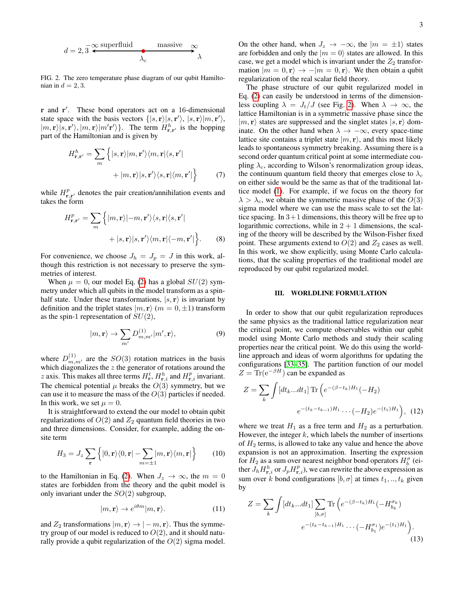$$
d = 2, \overline{3} \xleftarrow{\infty} \frac{\text{superfluid}}{\lambda_c} \xrightarrow{\text{massive}} \overline{\lambda}
$$

<span id="page-2-1"></span>FIG. 2. The zero temperature phase diagram of our qubit Hamiltonian in  $d = 2, 3$ .

r and r'. These bond operators act on a 16-dimensional state space with the basis vectors  $\{|s, r\rangle |s, r'\rangle$ ,  $|s, r\rangle |m, r'\rangle$ ,  $|m, \mathbf{r}\rangle$ [s, r'),  $|m, \mathbf{r}\rangle$ |m'r')}. The term  $H_{\mathbf{r}, \mathbf{r}'}^h$  is the hopping part of the Hamiltonian and is given by

$$
H_{\mathbf{r},\mathbf{r}'}^{h} = \sum_{m} \left\{ |s,\mathbf{r}\rangle|m,\mathbf{r}'\rangle\langle m,\mathbf{r}|\langle s,\mathbf{r}'|
$$

$$
+ |m,\mathbf{r}\rangle|s,\mathbf{r}'\rangle\langle s,\mathbf{r}|\langle m,\mathbf{r}'|\right\} \tag{7}
$$

while  $H_{\mathbf{r},\mathbf{r}'}^{p}$  denotes the pair creation/annihilation events and takes the form

$$
H_{\mathbf{r},\mathbf{r}'}^{p} = \sum_{m} \left\{ |m,\mathbf{r}\rangle| - m, \mathbf{r}'\rangle\langle s,\mathbf{r}|\langle s,\mathbf{r}'|
$$

$$
+ |s,\mathbf{r}\rangle|s,\mathbf{r}'\rangle\langle m,\mathbf{r}| \langle -m,\mathbf{r}'| \right\}.
$$
 (8)

For convenience, we choose  $J_h = J_p = J$  in this work, although this restriction is not necessary to preserve the symmetries of interest.

When  $\mu = 0$ , our model Eq. [\(2\)](#page-1-2) has a global  $SU(2)$  symmetry under which all qubits in the model transform as a spinhalf state. Under these transformations,  $|s, r\rangle$  is invariant by definition and the triplet states  $|m, r \rangle$   $(m = 0, \pm 1)$  transform as the spin-1 representation of  $SU(2)$ ,

$$
|m, \mathbf{r}\rangle \to \sum_{m'} D_{m,m'}^{(1)} |m', \mathbf{r}\rangle,\tag{9}
$$

where  $D_{m,m'}^{(1)}$  are the  $SO(3)$  rotation matrices in the basis which diagonalizes the  $z$  the generator of rotations around the z axis. This makes all three terms  $H_{\mathbf{r}}^{t}$ ,  $H_{\mathbf{r},i}^{h}$  and  $H_{\mathbf{r},i}^{p}$  invariant. The chemical potential  $\mu$  breaks the  $O(3)$  symmetry, but we can use it to measure the mass of the  $O(3)$  particles if needed. In this work, we set  $\mu = 0$ .

It is straightforward to extend the our model to obtain qubit regularizations of  $O(2)$  and  $Z_2$  quantum field theories in two and three dimensions. Consider, for example, adding the onsite term

$$
H_3 = J_z \sum_{\mathbf{r}} \left\{ |0, \mathbf{r} \rangle \langle 0, \mathbf{r}| - \sum_{m=\pm 1} |m, \mathbf{r} \rangle \langle m, \mathbf{r}| \right\} \tag{10}
$$

to the Hamiltonian in Eq. [\(2\)](#page-1-2). When  $J_z \rightarrow \infty$ , the  $m = 0$ states are forbidden from the theory and the qubit model is only invariant under the  $SO(2)$  subgroup,

$$
|m, \mathbf{r}\rangle \to e^{i\theta m} |m, \mathbf{r}\rangle. \tag{11}
$$

and  $Z_2$  transformations  $|m, \mathbf{r} \rangle \rightarrow |-m, \mathbf{r} \rangle$ . Thus the symmetry group of our model is reduced to  $O(2)$ , and it should naturally provide a qubit regularization of the  $O(2)$  sigma model.

On the other hand, when  $J_z \rightarrow -\infty$ , the  $|m = \pm 1\rangle$  states are forbidden and only the  $|m = 0\rangle$  states are allowed. In this case, we get a model which is invariant under the  $Z_2$  transformation  $|m = 0, r\rangle \rightarrow -|m = 0, r\rangle$ . We then obtain a qubit regularization of the real scalar field theory.

The phase structure of our qubit regularized model in Eq. [\(2\)](#page-1-2) can easily be understood in terms of the dimensionless coupling  $\lambda = J_t/J$  (see Fig. [2\)](#page-2-1). When  $\lambda \to \infty$ , the lattice Hamiltonian is in a symmetric massive phase since the  $|m, r\rangle$  states are suppressed and the singlet states  $|s, r\rangle$  dominate. On the other hand when  $\lambda \to -\infty$ , every space-time lattice site contains a triplet state  $|m, r\rangle$ , and this most likely leads to spontaneous symmetry breaking. Assuming there is a second order quantum critical point at some intermediate coupling  $\lambda_c$ , according to Wilson's renormalization group ideas, the continuum quantum field theory that emerges close to  $\lambda_c$ on either side would be the same as that of the traditional lattice model [\(1\)](#page-1-1). For example, if we focus on the theory for  $\lambda > \lambda_c$ , we obtain the symmetric massive phase of the  $O(3)$ sigma model where we can use the mass scale to set the lattice spacing. In  $3+1$  dimensions, this theory will be free up to logarithmic corrections, while in  $2 + 1$  dimensions, the scaling of the theory will be described by the Wilson-Fisher fixed point. These arguments extend to  $O(2)$  and  $Z_2$  cases as well. In this work, we show explicitly, using Monte Carlo calculations, that the scaling properties of the traditional model are reproduced by our qubit regularized model.

### <span id="page-2-0"></span>III. WORLDLINE FORMULATION

In order to show that our qubit regularization reproduces the same physics as the traditional lattice regularization near the critical point, we compute observables within our qubit model using Monte Carlo methods and study their scaling properties near the critical point. We do this using the worldline approach and ideas of worm algorithms for updating the configurations [\[33–](#page-12-15)[35\]](#page-12-16). The partition function of our model  $Z = \text{Tr}(e^{-\beta H})$  can be expanded as

$$
Z = \sum_{k} \int [dt_k...dt_1] \operatorname{Tr} \left( e^{-(\beta - t_k)H_1} (-H_2) \right)
$$

$$
e^{-(t_k - t_{k-1})H_1} \cdots (-H_2) e^{-(t_1)H_1} \right), \quad (12)
$$

where we treat  $H_1$  as a free term and  $H_2$  as a perturbation. However, the integer  $k$ , which labels the number of insertions of  $H_2$  terms, is allowed to take any value and hence the above expansion is not an approximation. Inserting the expression for  $H_2$  as a sum over nearest neighbor bond operators  $H_b^{\sigma}$  (either  $\bar{J}_h H_{\mathbf{r},i}^h$  or  $J_p H_{\mathbf{r},i}^p$ , we can rewrite the above expression as sum over k bond configurations  $[b, \sigma]$  at times  $t_1, \ldots, t_k$  given by

$$
Z = \sum_{k} \int [dt_k...dt_1] \sum_{[b,\sigma]} \text{Tr} \left( e^{-(\beta - t_k)H_1} (-H_{b_k}^{\sigma_k}) \right. \\ \left. e^{-(t_k - t_{k-1})H_1} \cdots (-H_{b_1}^{\sigma_1}) e^{-(t_1)H_1} \right). \tag{13}
$$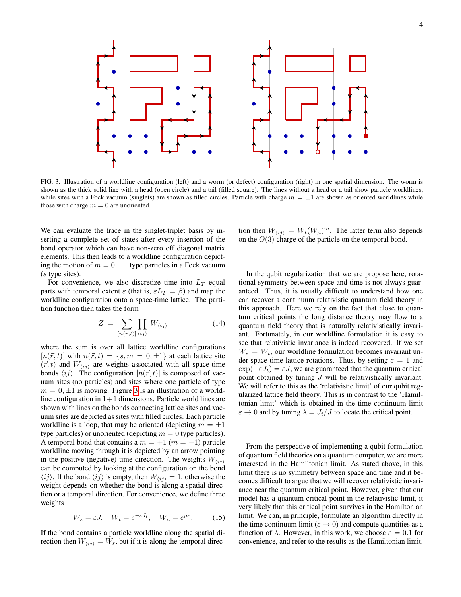

<span id="page-3-0"></span>FIG. 3. Illustration of a worldline configuration (left) and a worm (or defect) configuration (right) in one spatial dimension. The worm is shown as the thick solid line with a head (open circle) and a tail (filled square). The lines without a head or a tail show particle worldlines, while sites with a Fock vacuum (singlets) are shown as filled circles. Particle with charge  $m = \pm 1$  are shown as oriented worldlines while those with charge  $m = 0$  are unoriented.

We can evaluate the trace in the singlet-triplet basis by inserting a complete set of states after every insertion of the bond operator which can have non-zero off diagonal matrix elements. This then leads to a worldline configuration depicting the motion of  $m = 0, \pm 1$  type particles in a Fock vacuum (s type sites).

For convenience, we also discretize time into  $L_T$  equal parts with temporal extent  $\varepsilon$  (that is,  $\varepsilon L_T = \beta$ ) and map the worldline configuration onto a space-time lattice. The partition function then takes the form

$$
Z = \sum_{[n(\vec{r},t)]} \prod_{\langle ij \rangle} W_{\langle ij \rangle} \tag{14}
$$

where the sum is over all lattice worldline configurations  $[n(\vec{r}, t)]$  with  $n(\vec{r}, t) = \{s, m = 0, \pm 1\}$  at each lattice site  $(\vec{r}, t)$  and  $W_{\langle ij \rangle}$  are weights associated with all space-time bonds  $\langle ij \rangle$ . The configuration  $[n(\vec{r}, t)]$  is composed of vacuum sites (no particles) and sites where one particle of type  $m = 0, \pm 1$  is moving. Figure [3](#page-3-0) is an illustration of a worldline configuration in  $1+1$  dimensions. Particle world lines are shown with lines on the bonds connecting lattice sites and vacuum sites are depicted as sites with filled circles. Each particle worldline is a loop, that may be oriented (depicting  $m = \pm 1$ ) type particles) or unoriented (depicting  $m = 0$  type particles). A temporal bond that contains a  $m = +1$  ( $m = -1$ ) particle worldline moving through it is depicted by an arrow pointing in the positive (negative) time direction. The weights  $W_{\langle ij \rangle}$ can be computed by looking at the configuration on the bond  $\langle ij \rangle$ . If the bond  $\langle ij \rangle$  is empty, then  $W_{\langle ij \rangle} = 1$ , otherwise the weight depends on whether the bond is along a spatial direction or a temporal direction. For convenience, we define three weights

$$
W_s = \varepsilon J, \quad W_t = e^{-\varepsilon J_t}, \quad W_\mu = e^{\mu \varepsilon}.
$$
 (15)

If the bond contains a particle worldline along the spatial direction then  $W_{\langle ij \rangle} = W_s$ , but if it is along the temporal direc-

tion then  $W_{\langle ij \rangle} = W_t (W_\mu)^m$ . The latter term also depends on the  $O(3)$  charge of the particle on the temporal bond.

<span id="page-3-1"></span>In the qubit regularization that we are propose here, rotational symmetry between space and time is not always guaranteed. Thus, it is usually difficult to understand how one can recover a continuum relativistic quantum field theory in this approach. Here we rely on the fact that close to quantum critical points the long distance theory may flow to a quantum field theory that is naturally relativistically invariant. Fortunately, in our worldline formulation it is easy to see that relativistic invariance is indeed recovered. If we set  $W_s = W_t$ , our worldline formulation becomes invariant under space-time lattice rotations. Thus, by setting  $\varepsilon = 1$  and  $exp(-\varepsilon J_t) = \varepsilon J$ , we are guaranteed that the quantum critical point obtained by tuning J will be relativistically invariant. We will refer to this as the 'relativistic limit' of our qubit regularized lattice field theory. This is in contrast to the 'Hamiltonian limit' which is obtained in the time continuum limit  $\varepsilon \to 0$  and by tuning  $\lambda = J_t/J$  to locate the critical point.

<span id="page-3-2"></span>From the perspective of implementing a qubit formulation of quantum field theories on a quantum computer, we are more interested in the Hamiltonian limit. As stated above, in this limit there is no symmetry between space and time and it becomes difficult to argue that we will recover relativistic invariance near the quantum critical point. However, given that our model has a quantum critical point in the relativistic limit, it very likely that this critical point survives in the Hamiltonian limit. We can, in principle, formulate an algorithm directly in the time continuum limit ( $\varepsilon \to 0$ ) and compute quantities as a function of  $\lambda$ . However, in this work, we choose  $\varepsilon = 0.1$  for convenience, and refer to the results as the Hamiltonian limit.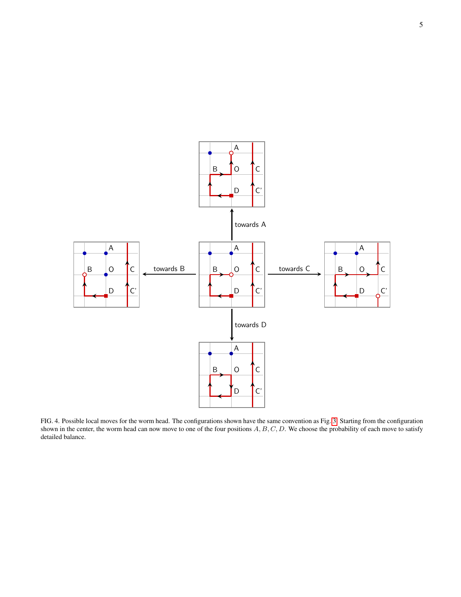

<span id="page-4-0"></span>FIG. 4. Possible local moves for the worm head. The configurations shown have the same convention as Fig. [3.](#page-3-0) Starting from the configuration shown in the center, the worm head can now move to one of the four positions  $A, B, C, D$ . We choose the probability of each move to satisfy detailed balance.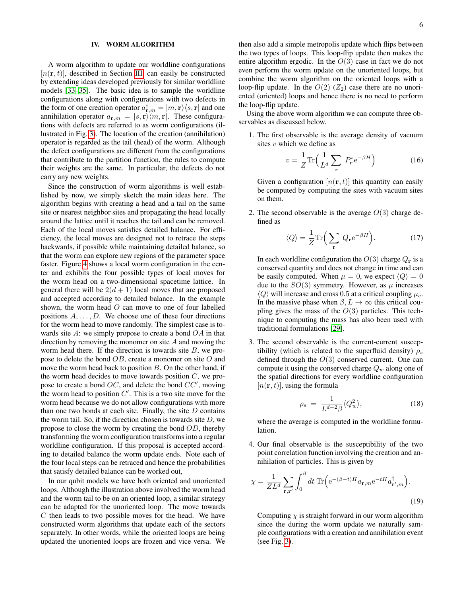### <span id="page-5-0"></span>IV. WORM ALGORITHM

A worm algorithm to update our worldline configurations  $[n(\mathbf{r}, t)]$ , described in Section [III,](#page-2-0) can easily be constructed by extending ideas developed previously for similar worldline models [\[33–](#page-12-15)[35\]](#page-12-16). The basic idea is to sample the worldline configurations along with configurations with two defects in the form of one creation operator  $a^{\dagger}_{\mathbf{r},m} = |m,\mathbf{r}\rangle\langle s,\mathbf{r}|$  and one annihilation operator  $a_{\mathbf{r},m} = |s,\mathbf{r}\rangle \langle m,\mathbf{r}|$ . These configurations with defects are referred to as worm configurations (illustrated in Fig. [3\)](#page-3-0). The location of the creation (annihilation) operator is regarded as the tail (head) of the worm. Although the defect configurations are different from the configurations that contribute to the partition function, the rules to compute their weights are the same. In particular, the defects do not carry any new weights.

Since the construction of worm algorithms is well established by now, we simply sketch the main ideas here. The algorithm begins with creating a head and a tail on the same site or nearest neighbor sites and propagating the head locally around the lattice until it reaches the tail and can be removed. Each of the local moves satisfies detailed balance. For efficiency, the local moves are designed not to retrace the steps backwards, if possible while maintaining detailed balance, so that the worm can explore new regions of the parameter space faster. Figure [4](#page-4-0) shows a local worm configuration in the center and exhibits the four possible types of local moves for the worm head on a two-dimensional spacetime lattice. In general there will be  $2(d+1)$  local moves that are proposed and accepted according to detailed balance. In the example shown, the worm head  $O$  can move to one of four labelled positions  $A, \ldots, D$ . We choose one of these four directions for the worm head to move randomly. The simplest case is towards site  $A$ : we simply propose to create a bond  $OA$  in that direction by removing the monomer on site A and moving the worm head there. If the direction is towards site  $B$ , we propose to delete the bond  $OB$ , create a monomer on site  $O$  and move the worm head back to position  $B$ . On the other hand, if the worm head decides to move towards position  $C$ , we propose to create a bond  $OC$ , and delete the bond  $CC'$ , moving the worm head to position  $C'$ . This is a two site move for the worm head because we do not allow configurations with more than one two bonds at each site. Finally, the site  $D$  contains the worm tail. So, if the direction chosen is towards site  $D$ , we propose to close the worm by creating the bond OD, thereby transforming the worm configuration transforms into a regular worldline configuration. If this proposal is accepted according to detailed balance the worm update ends. Note each of the four local steps can be retraced and hence the probabilities that satisfy detailed balance can be worked out,

In our qubit models we have both oriented and unoriented loops. Although the illustration above involved the worm head and the worm tail to be on an oriented loop, a similar strategy can be adapted for the unoriented loop. The move towards  $C$  then leads to two possible moves for the head. We have constructed worm algorithms that update each of the sectors separately. In other words, while the oriented loops are being updated the unoriented loops are frozen and vice versa. We then also add a simple metropolis update which flips between the two types of loops. This loop-flip update then makes the entire algorithm ergodic. In the  $O(3)$  case in fact we do not even perform the worm update on the unoriented loops, but combine the worm algorithm on the oriented loops with a loop-flip update. In the  $O(2)$  ( $Z_2$ ) case there are no unoriented (oriented) loops and hence there is no need to perform the loop-flip update.

Using the above worm algorithm we can compute three observables as discussed below.

1. The first observable is the average density of vacuum sites  $v$  which we define as

$$
v = \frac{1}{Z} \text{Tr} \left( \frac{1}{L^d} \sum_{\mathbf{r}} P_{\mathbf{r}}^s e^{-\beta H} \right) \tag{16}
$$

Given a configuration  $[n(\mathbf{r}, t)]$  this quantity can easily be computed by computing the sites with vacuum sites on them.

2. The second observable is the average  $O(3)$  charge defined as

$$
\langle Q \rangle = \frac{1}{Z} \text{Tr} \Big( \sum_{\mathbf{r}} Q_{\mathbf{r}} e^{-\beta H} \Big). \tag{17}
$$

In each worldline configuration the  $O(3)$  charge  $Q_r$  is a conserved quantity and does not change in time and can be easily computed. When  $\mu = 0$ , we expect  $\langle Q \rangle = 0$ due to the  $SO(3)$  symmetry. However, as  $\mu$  increases  $\langle Q \rangle$  will increase and cross 0.5 at a critical coupling  $\mu_c$ . In the massive phase when  $\beta$ ,  $L \rightarrow \infty$  this critical coupling gives the mass of the  $O(3)$  particles. This technique to computing the mass has also been used with traditional formulations [\[29\]](#page-12-17).

3. The second observable is the current-current susceptibility (which is related to the superfluid density)  $\rho_s$ defined through the  $O(3)$  conserved current. One can compute it using the conserved charge  $Q_w$  along one of the spatial directions for every worldline configuration  $[n(r, t)]$ , using the formula

<span id="page-5-1"></span>
$$
\rho_s = \frac{1}{L^{d-2}\beta} \langle Q_w^2 \rangle, \tag{18}
$$

where the average is computed in the worldline formulation.

4. Our final observable is the susceptibility of the two point correlation function involving the creation and annihilation of particles. This is given by

$$
\chi = \frac{1}{Z L^d} \sum_{\mathbf{r}, \mathbf{r}'} \int_0^\beta dt \, \text{Tr} \Big( e^{-(\beta - t)H} a_{\mathbf{r}, m} e^{-tH} a_{\mathbf{r}', m}^\dagger \Big). \tag{19}
$$

Computing  $\chi$  is straight forward in our worm algorithm since the during the worm update we naturally sample configurations with a creation and annihilation event (see Fig. [3\)](#page-3-0).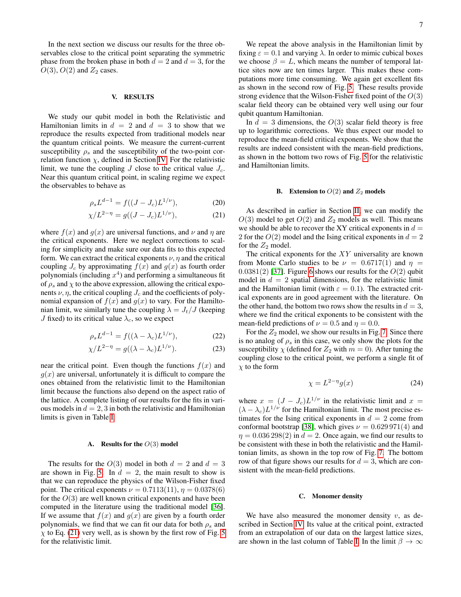In the next section we discuss our results for the three observables close to the critical point separating the symmetric phase from the broken phase in both  $d = 2$  and  $d = 3$ , for the  $O(3)$ ,  $O(2)$  and  $Z_2$  cases.

### <span id="page-6-0"></span>V. RESULTS

We study our qubit model in both the Relativistic and Hamiltonian limits in  $d = 2$  and  $d = 3$  to show that we reproduce the results expected from traditional models near the quantum critical points. We measure the current-current susceptibility  $\rho_s$  and the susceptibility of the two-point correlation function  $\chi$ , defined in Section [IV.](#page-5-0) For the relativistic limit, we tune the coupling J close to the critical value  $J_c$ . Near this quantum critical point, in scaling regime we expect the observables to behave as

$$
\rho_s L^{d-1} = f((J - J_c)L^{1/\nu}),\tag{20}
$$

$$
\chi/L^{2-\eta} = g((J - J_c)L^{1/\nu}),\tag{21}
$$

where  $f(x)$  and  $g(x)$  are universal functions, and  $\nu$  and  $\eta$  are the critical exponents. Here we neglect corrections to scaling for simplicity and make sure our data fits to this expected form. We can extract the critical exponents  $\nu$ ,  $\eta$  and the critical coupling  $J_c$  by approximating  $f(x)$  and  $g(x)$  as fourth order polynomials (including  $x^4$ ) and performing a simultaneous fit of  $\rho_s$  and  $\chi$  to the above expression, allowing the critical exponents  $\nu$ ,  $\eta$ , the critical coupling  $J_c$  and the coefficients of polynomial expansion of  $f(x)$  and  $g(x)$  to vary. For the Hamiltonian limit, we similarly tune the coupling  $\lambda = J_t/J$  (keeping J fixed) to its critical value  $\lambda_c$ , so we expect

$$
\rho_s L^{d-1} = f((\lambda - \lambda_c)L^{1/\nu}),\tag{22}
$$

$$
\chi/L^{2-\eta} = g((\lambda - \lambda_c)L^{1/\nu}).\tag{23}
$$

near the critical point. Even though the functions  $f(x)$  and  $q(x)$  are universal, unfortunately it is difficult to compare the ones obtained from the relativistic limit to the Hamiltonian limit because the functions also depend on the aspect ratio of the lattice. A complete listing of our results for the fits in various models in  $d = 2, 3$  in both the relativistic and Hamiltonian limits is given in Table [I.](#page-10-2)

### A. Results for the  $O(3)$  model

The results for the  $O(3)$  model in both  $d = 2$  and  $d = 3$ are shown in Fig. [5.](#page-7-0) In  $d = 2$ , the main result to show is that we can reproduce the physics of the Wilson-Fisher fixed point. The critical exponents  $\nu = 0.7113(11)$ ,  $\eta = 0.0378(6)$ for the  $O(3)$  are well known critical exponents and have been computed in the literature using the traditional model [\[36\]](#page-12-18). If we assume that  $f(x)$  and  $g(x)$  are given by a fourth order polynomials, we find that we can fit our data for both  $\rho_s$  and  $\chi$  to Eq. [\(21\)](#page-6-1) very well, as is shown by the first row of Fig. [5](#page-7-0) for the relativistic limit.

We repeat the above analysis in the Hamiltonian limit by fixing  $\varepsilon = 0.1$  and varying  $\lambda$ . In order to mimic cubical boxes we choose  $\beta = L$ , which means the number of temporal lattice sites now are ten times larger. This makes these computations more time consuming. We again get excellent fits as shown in the second row of Fig. [5.](#page-7-0) These results provide strong evidence that the Wilson-Fisher fixed point of the  $O(3)$ scalar field theory can be obtained very well using our four qubit quantum Hamiltonian.

In  $d = 3$  dimensions, the  $O(3)$  scalar field theory is free up to logarithmic corrections. We thus expect our model to reproduce the mean-field critical exponents. We show that the results are indeed consistent with the mean-field predictions, as shown in the bottom two rows of Fig. [5](#page-7-0) for the relativistic and Hamiltonian limits.

### **B.** Extension to  $O(2)$  and  $Z_2$  models

<span id="page-6-1"></span>As described in earlier in Section [II,](#page-1-0) we can modify the  $O(3)$  model to get  $O(2)$  and  $Z_2$  models as well. This means we should be able to recover the XY critical exponents in  $d =$ 2 for the  $O(2)$  model and the Ising critical exponents in  $d = 2$ for the  $Z_2$  model.

The critical exponents for the XY universality are known from Monte Carlo studies to be  $\nu = 0.6717(1)$  and  $\eta =$  $0.0381(2)$  [\[37\]](#page-12-19). Figure [6](#page-8-0) shows our results for the  $O(2)$  qubit model in  $d = 2$  spatial dimensions, for the relativistic limit and the Hamiltonian limit (with  $\varepsilon = 0.1$ ). The extracted critical exponents are in good agreement with the literature. On the other hand, the bottom two rows show the results in  $d = 3$ , where we find the critical exponents to be consistent with the mean-field predictions of  $\nu = 0.5$  and  $\eta = 0.0$ .

For the  $Z_2$  model, we show our results in Fig. [7.](#page-9-1) Since there is no analog of  $\rho_s$  in this case, we only show the plots for the susceptibility  $\chi$  (defined for  $Z_2$  with  $m = 0$ ). After tuning the coupling close to the critical point, we perform a single fit of  $\chi$  to the form

$$
\chi = L^{2-\eta} g(x) \tag{24}
$$

where  $x = (J - J_c)L^{1/\nu}$  in the relativistic limit and  $x = (x - J_c)L^{1/\nu}$  $(\lambda - \lambda_c)L^{1/\nu}$  for the Hamiltonian limit. The most precise estimates for the Ising critical exponents in  $d = 2$  come from conformal bootstrap [\[38\]](#page-12-20), which gives  $\nu = 0.629971(4)$  and  $\eta = 0.036\,298(2)$  in  $d = 2$ . Once again, we find our results to be consistent with these in both the relativistic and the Hamiltonian limits, as shown in the top row of Fig. [7.](#page-9-1) The bottom row of that figure shows our results for  $d = 3$ , which are consistent with the mean-field predictions.

### C. Monomer density

We have also measured the monomer density  $v$ , as described in Section [IV.](#page-5-0) Its value at the critical point, extracted from an extrapolation of our data on the largest lattice sizes, are shown in the last column of Table [I.](#page-10-2) In the limit  $\beta \to \infty$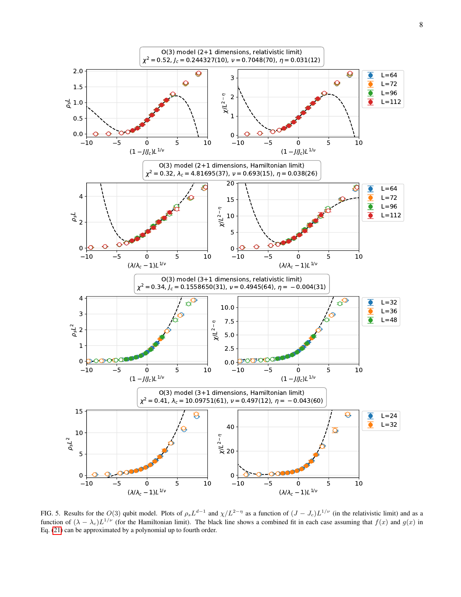

<span id="page-7-0"></span>FIG. 5. Results for the  $O(3)$  qubit model. Plots of  $\rho_s L^{d-1}$  and  $\chi/L^{2-\eta}$  as a function of  $(J-J_c)L^{1/\nu}$  (in the relativistic limit) and as a function of  $(\lambda - \lambda_c)L^{1/\nu}$  (for the Hamiltonian limit). The black line shows a combined fit in each case assuming that  $f(x)$  and  $g(x)$  in Eq. [\(21\)](#page-6-1) can be approximated by a polynomial up to fourth order.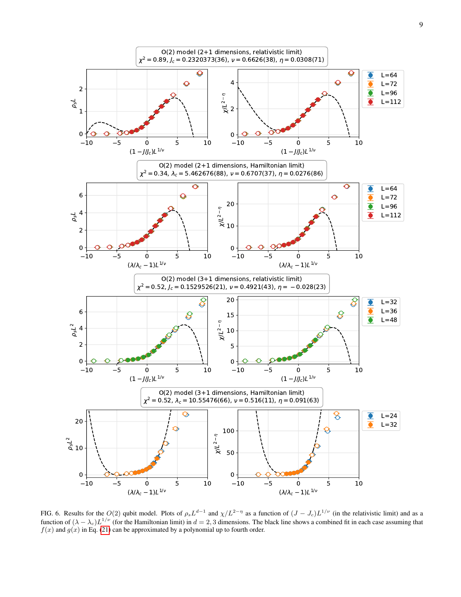

<span id="page-8-0"></span>FIG. 6. Results for the  $O(2)$  qubit model. Plots of  $\rho_s L^{d-1}$  and  $\chi/L^{2-\eta}$  as a function of  $(J-J_c)L^{1/\nu}$  (in the relativistic limit) and as a function of  $(\lambda - \lambda_c)L^{1/\nu}$  (for the Hamiltonian limit) in  $d = 2, 3$  dimensions. The black line shows a combined fit in each case assuming that  $f(x)$  and  $g(x)$  in Eq. [\(21\)](#page-6-1) can be approximated by a polynomial up to fourth order.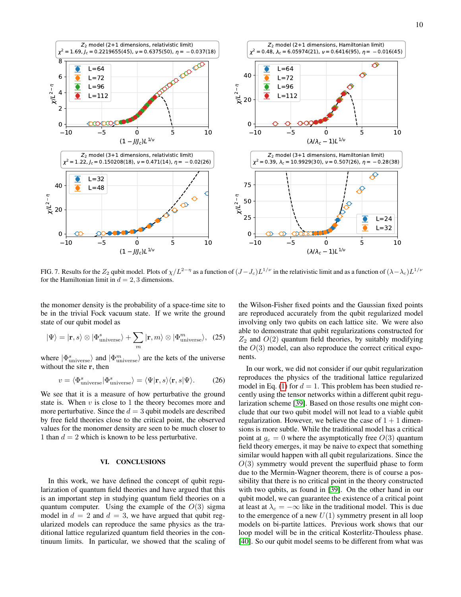

<span id="page-9-1"></span>FIG. 7. Results for the  $Z_2$  qubit model. Plots of  $\chi/L^{2-\eta}$  as a function of  $(J-J_c)L^{1/\nu}$  in the relativistic limit and as a function of  $(\lambda-\lambda_c)L^{1/\nu}$ for the Hamiltonian limit in  $d = 2, 3$  dimensions.

the monomer density is the probability of a space-time site to be in the trivial Fock vacuum state. If we write the ground state of our qubit model as

$$
|\Psi\rangle = |\mathbf{r}, s\rangle \otimes |\Phi_{\text{universe}}^s\rangle + \sum_m |\mathbf{r}, m\rangle \otimes |\Phi_{\text{universe}}^m\rangle, (25)
$$

where  $|\Phi_{\text{universe}}^s\rangle$  and  $|\Phi_{\text{universe}}^m\rangle$  are the kets of the universe without the site r, then

$$
v = \langle \Phi_{\text{universe}}^s | \Phi_{\text{universe}}^s \rangle = \langle \Psi | \mathbf{r}, s \rangle \langle \mathbf{r}, s | \Psi \rangle. \tag{26}
$$

We see that it is a measure of how perturbative the ground state is. When  $v$  is close to 1 the theory becomes more and more perturbative. Since the  $d = 3$  qubit models are described by free field theories close to the critical point, the observed values for the monomer density are seen to be much closer to 1 than  $d = 2$  which is known to be less perturbative.

# <span id="page-9-0"></span>VI. CONCLUSIONS

In this work, we have defined the concept of qubit regularization of quantum field theories and have argued that this is an important step in studying quantum field theories on a quantum computer. Using the example of the  $O(3)$  sigma model in  $d = 2$  and  $d = 3$ , we have argued that qubit regularized models can reproduce the same physics as the traditional lattice regularized quantum field theories in the continuum limits. In particular, we showed that the scaling of the Wilson-Fisher fixed points and the Gaussian fixed points are reproduced accurately from the qubit regularized model involving only two qubits on each lattice site. We were also able to demonstrate that qubit regularizations constructed for  $Z_2$  and  $O(2)$  quantum field theories, by suitably modifying the  $O(3)$  model, can also reproduce the correct critical exponents.

In our work, we did not consider if our qubit regularization reproduces the physics of the traditional lattice regularized model in Eq. [\(1\)](#page-1-1) for  $d = 1$ . This problem has been studied recently using the tensor networks within a different qubit regularization scheme [\[39\]](#page-12-21). Based on those results one might conclude that our two qubit model will not lead to a viable qubit regularization. However, we believe the case of  $1 + 1$  dimensions is more subtle. While the traditional model has a critical point at  $g_c = 0$  where the asymptotically free  $O(3)$  quantum field theory emerges, it may be naive to expect that something similar would happen with all qubit regularizations. Since the  $O(3)$  symmetry would prevent the superfluid phase to form due to the Mermin-Wagner theorem, there is of course a possibility that there is no critical point in the theory constructed with two qubits, as found in [\[39\]](#page-12-21). On the other hand in our qubit model, we can guarantee the existence of a critical point at least at  $\lambda_c = -\infty$  like in the traditional model. This is due to the emergence of a new  $U(1)$  symmetry present in all loop models on bi-partite lattices. Previous work shows that our loop model will be in the critical Kosterlitz-Thouless phase. [\[40\]](#page-12-22). So our qubit model seems to be different from what was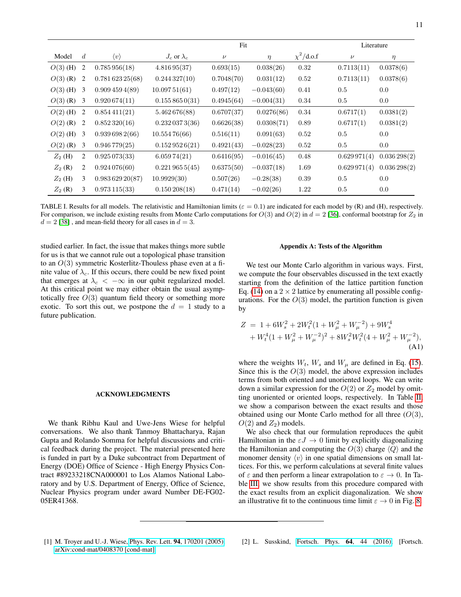|            |                  |                     | Fit                  |            |              |                 |             | Literature  |  |
|------------|------------------|---------------------|----------------------|------------|--------------|-----------------|-------------|-------------|--|
| Model      | $\boldsymbol{d}$ | $\langle v \rangle$ | $J_c$ or $\lambda_c$ | $\nu$      | $\eta$       | $\chi^2$ /d.o.f | $\nu$       | $\eta$      |  |
| $O(3)$ (H) | $\overline{2}$   | 0.785956(18)        | 4.81695(37)          | 0.693(15)  | 0.038(26)    | 0.32            | 0.7113(11)  | 0.0378(6)   |  |
| $O(3)$ (R) | $\overline{2}$   | 0.78162325(68)      | 0.244327(10)         | 0.7048(70) | 0.031(12)    | 0.52            | 0.7113(11)  | 0.0378(6)   |  |
| $O(3)$ (H) | 3                | 0.9094594(89)       | 10.09751(61)         | 0.497(12)  | $-0.043(60)$ | 0.41            | 0.5         | 0.0         |  |
| $O(3)$ (R) | 3                | 0.920674(11)        | 0.1558650(31)        | 0.4945(64) | $-0.004(31)$ | 0.34            | 0.5         | 0.0         |  |
| $O(2)$ (H) | 2                | 0.854411(21)        | 5.462676(88)         | 0.6707(37) | 0.0276(86)   | 0.34            | 0.6717(1)   | 0.0381(2)   |  |
| $O(2)$ (R) | 2                | 0.852320(16)        | 0.2320373(36)        | 0.6626(38) | 0.0308(71)   | 0.89            | 0.6717(1)   | 0.0381(2)   |  |
| $O(2)$ (H) | 3                | 0.9396982(66)       | 10.55476(66)         | 0.516(11)  | 0.091(63)    | 0.52            | 0.5         | 0.0         |  |
| $O(2)$ (R) | 3                | 0.946779(25)        | 0.1529526(21)        | 0.4921(43) | $-0.028(23)$ | 0.52            | 0.5         | 0.0         |  |
| $Z_2$ (H)  | 2                | 0.925073(33)        | 6.05974(21)          | 0.6416(95) | $-0.016(45)$ | 0.48            | 0.629971(4) | 0.036298(2) |  |
| $Z_2(R)$   | 2                | 0.924076(60)        | $0.221\,965\,5(45)$  | 0.6375(50) | $-0.037(18)$ | 1.69            | 0.629971(4) | 0.036298(2) |  |
| $Z_2$ (H)  | 3                | 0.98362920(87)      | 10.9929(30)          | 0.507(26)  | $-0.28(38)$  | 0.39            | 0.5         | 0.0         |  |
| $Z_2(R)$   | 3                | 0.973115(33)        | $0.150\,208(18)$     | 0.471(14)  | $-0.02(26)$  | 1.22            | 0.5         | 0.0         |  |

<span id="page-10-2"></span>TABLE I. Results for all models. The relativistic and Hamiltonian limits ( $\varepsilon = 0.1$ ) are indicated for each model by (R) and (H), respectively. For comparison, we include existing results from Monte Carlo computations for  $O(3)$  and  $O(2)$  in  $d = 2$  [\[36\]](#page-12-18), conformal bootstrap for  $Z_2$  in  $d = 2$  [\[38\]](#page-12-20), and mean-field theory for all cases in  $d = 3$ .

studied earlier. In fact, the issue that makes things more subtle for us is that we cannot rule out a topological phase transition to an  $O(3)$  symmetric Kosterlitz-Thouless phase even at a finite value of  $\lambda_c$ . If this occurs, there could be new fixed point that emerges at  $\lambda_c < -\infty$  in our qubit regularized model. At this critical point we may either obtain the usual asymptotically free  $O(3)$  quantum field theory or something more exotic. To sort this out, we postpone the  $d = 1$  study to a future publication.

## ACKNOWLEDGMENTS

We thank Ribhu Kaul and Uwe-Jens Wiese for helpful conversations. We also thank Tanmoy Bhattacharya, Rajan Gupta and Rolando Somma for helpful discussions and critical feedback during the project. The material presented here is funded in part by a Duke subcontract from Department of Energy (DOE) Office of Science - High Energy Physics Contract #89233218CNA000001 to Los Alamos National Laboratory and by U.S. Department of Energy, Office of Science, Nuclear Physics program under award Number DE-FG02- 05ER41368.

### Appendix A: Tests of the Algorithm

We test our Monte Carlo algorithm in various ways. First, we compute the four observables discussed in the text exactly starting from the definition of the lattice partition function Eq. [\(14\)](#page-3-1) on a  $2 \times 2$  lattice by enumerating all possible configurations. For the  $O(3)$  model, the partition function is given by

$$
Z = 1 + 6W_s^2 + 2W_t^2(1 + W_\mu^2 + W_\mu^{-2}) + 9W_s^4
$$
  
+ 
$$
W_t^4(1 + W_\mu^2 + W_\mu^{-2})^2 + 8W_s^2W_t^2(4 + W_\mu^2 + W_\mu^{-2}),
$$
  
(A1)

where the weights  $W_t$ ,  $W_s$  and  $W_\mu$  are defined in Eq. [\(15\)](#page-3-2). Since this is the  $O(3)$  model, the above expression includes terms from both oriented and unoriented loops. We can write down a similar expression for the  $O(2)$  or  $Z_2$  model by omitting unoriented or oriented loops, respectively. In Table [II,](#page-11-2) we show a comparison between the exact results and those obtained using our Monte Carlo method for all three  $(O(3),$  $O(2)$  and  $Z_2$ ) models.

We also check that our formulation reproduces the qubit Hamiltonian in the  $\varepsilon J \to 0$  limit by explicitly diagonalizing the Hamiltonian and computing the  $O(3)$  charge  $\langle Q \rangle$  and the monomer density  $\langle v \rangle$  in one spatial dimensions on small lattices. For this, we perform calculations at several finite values of  $\varepsilon$  and then perform a linear extrapolation to  $\varepsilon \to 0$ . In Table [III,](#page-11-3) we show results from this procedure compared with the exact results from an explicit diagonalization. We show an illustrative fit to the continuous time limit  $\varepsilon \to 0$  in Fig. [8.](#page-12-23)

<span id="page-10-0"></span>[1] M. Troyer and U.-J. Wiese, Phys. Rev. Lett. 94[, 170201 \(2005\),](http://dx.doi.org/10.1103/PhysRevLett.94.170201) [arXiv:cond-mat/0408370 \[cond-mat\].](http://arxiv.org/abs/cond-mat/0408370)

<span id="page-10-1"></span>[2] L. Susskind, [Fortsch. Phys.](http://dx.doi.org/10.1002/prop.201500093, 10.1002/prop.201500092) 64, 44 (2016), [Fortsch.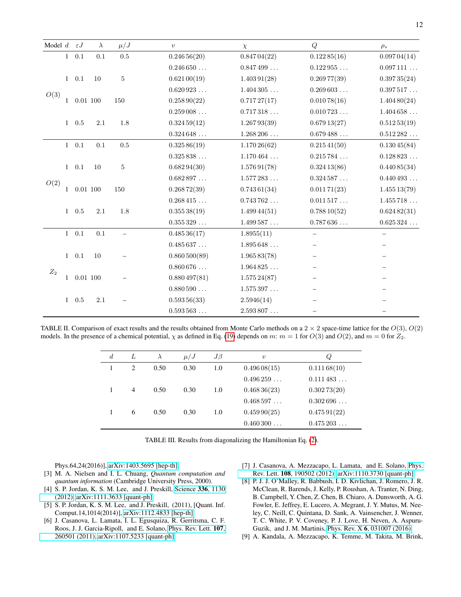| Model $d \in J$ |              |            | $\lambda$ | $\mu/J$                  | $\upsilon$           | $\chi$               | Q            | $\rho_s$             |
|-----------------|--------------|------------|-----------|--------------------------|----------------------|----------------------|--------------|----------------------|
| O(3)            | $\mathbf{1}$ | 0.1        | 0.1       | $0.5\,$                  | 0.24656(20)          | 0.84704(22)          | 0.12285(16)  | 0.09704(14)          |
|                 |              |            |           |                          | $0.246\,650\,\ldots$ | 0.847499             | 0.122955     | $0.097\,111$         |
|                 | 1            | 0.1        | 10        | $\rm 5$                  | 0.62100(19)          | $1.403\,91(28)$      | 0.26977(39)  | 0.39735(24)          |
|                 |              |            |           |                          | 0.620923             | 1.404305             | 0.269603     | 0.397517             |
|                 |              | $0.01$ 100 |           | 150                      | 0.25890(22)          | 0.71727(17)          | 0.01078(16)  | 1.40480(24)          |
|                 |              |            |           |                          | $0.259\,008$         | 0.717318             | 0.010723     | 1.404658             |
|                 |              | $1 \t0.5$  | 2.1       | 1.8                      | 0.32459(12)          | 1.26793(39)          | 0.67913(27)  | 0.51253(19)          |
|                 |              |            |           |                          | 0.324648             | $1.268\,206\,\ldots$ | 0.679488     | $0.512\,282\,\ldots$ |
| O(2)            | $\mathbf{1}$ | 0.1        | 0.1       | 0.5                      | 0.32586(19)          | $1.170\,26(62)$      | 0.21541(50)  | 0.13045(84)          |
|                 |              |            |           |                          | 0.325838             | 1.170464             | 0.215784     | 0.128823             |
|                 | 1            | 0.1        | 10        | $\bf 5$                  | 0.68294(30)          | 1.57691(78)          | 0.32413(86)  | 0.44085(34)          |
|                 |              |            |           |                          | 0.682897             | 1.577283             | 0.324587     | 0.440493             |
|                 |              | $0.01$ 100 |           | 150                      | 0.26872(39)          | 0.74361(34)          | 0.01171(23)  | 1.45513(79)          |
|                 |              |            |           |                          | 0.268415             | $0.743\,762\,\ldots$ | $0.011\,517$ | $1.455\,718$         |
|                 | $\mathbf{1}$ | 0.5        | $2.1\,$   | 1.8                      | 0.35538(19)          | 1.49944(51)          | 0.78810(52)  | 0.62482(31)          |
|                 |              |            |           |                          | $0.355\,329\,\ldots$ | 1.499587             | 0.787636     | 0.625324             |
|                 | 1            | 0.1        | 0.1       | $\overline{\phantom{0}}$ | 0.48536(17)          | 1.8955(11)           | $\equiv$     |                      |
| $\mathbb{Z}_2$  |              |            |           |                          | 0.485637             | 1.895648             |              |                      |
|                 | 1            | 0.1        | 10        |                          | 0.860500(89)         | 1.96583(78)          |              |                      |
|                 |              |            |           |                          | $0.860\,676\,\ldots$ | 1.964825             |              |                      |
|                 | 1            | 0.01100    |           |                          | 0.880497(81)         | $1.575\,24(87)$      |              |                      |
|                 |              |            |           |                          | $0.880\,590\,\ldots$ | $1.575\,397\,\ldots$ |              |                      |
|                 | 1            | 0.5        | $2.1\,$   |                          | 0.59356(33)          | 2.5946(14)           |              |                      |
|                 |              |            |           |                          | 0.593563             | 2.593807             |              |                      |

<span id="page-11-2"></span>TABLE II. Comparison of exact results and the results obtained from Monte Carlo methods on a  $2 \times 2$  space-time lattice for the  $O(3)$ ,  $O(2)$ models. In the presence of a chemical potential,  $\chi$  as defined in Eq. [\(19\)](#page-5-1) depends on m:  $m = 1$  for  $O(3)$  and  $O(2)$ , and  $m = 0$  for  $\mathbb{Z}_2$ .

| $\boldsymbol{d}$ | L | $\lambda$ | $\mu/J$ | $J\beta$ | $\boldsymbol{v}$ | Q,          |
|------------------|---|-----------|---------|----------|------------------|-------------|
|                  | 2 | 0.50      | 0.30    | 1.0      | 0.49608(15)      | 0.11168(10) |
|                  |   |           |         |          | 0.496259         | 0.111483    |
|                  | 4 | 0.50      | 0.30    | 1.0      | 0.46836(23)      | 0.30273(20) |
|                  |   |           |         |          | 0.468597         | 0.302696    |
|                  | 6 | 0.50      | 0.30    | 1.0      | 0.45990(25)      | 0.47591(22) |
|                  |   |           |         |          | 0.460300         | 0.475203    |

<span id="page-11-3"></span>TABLE III. Results from diagonalizing the Hamiltonian Eq. [\(2\)](#page-1-2).

Phys.64,24(2016)], [arXiv:1403.5695 \[hep-th\].](http://arxiv.org/abs/1403.5695)

- <span id="page-11-0"></span>[3] M. A. Nielsen and I. L. Chuang, *Quantum computation and quantum information* (Cambridge University Press, 2000).
- <span id="page-11-1"></span>[4] S. P. Jordan, K. S. M. Lee, and J. Preskill, [Science](http://dx.doi.org/10.1126/science.1217069) 336, 1130 [\(2012\),](http://dx.doi.org/10.1126/science.1217069) [arXiv:1111.3633 \[quant-ph\].](http://arxiv.org/abs/1111.3633)
- [5] S. P. Jordan, K. S. M. Lee, and J. Preskill, (2011), [Quant. Inf. Comput.14,1014(2014)], [arXiv:1112.4833 \[hep-th\].](http://arxiv.org/abs/1112.4833)
- [6] J. Casanova, L. Lamata, I. L. Egusquiza, R. Gerritsma, C. F. Roos, J. J. Garcia-Ripoll, and E. Solano, [Phys. Rev. Lett.](http://dx.doi.org/ 10.1103/PhysRevLett.107.260501) 107, [260501 \(2011\),](http://dx.doi.org/ 10.1103/PhysRevLett.107.260501) [arXiv:1107.5233 \[quant-ph\].](http://arxiv.org/abs/1107.5233)
- [7] J. Casanova, A. Mezzacapo, L. Lamata, and E. Solano, [Phys.](http://dx.doi.org/ 10.1103/PhysRevLett.108.190502) Rev. Lett. 108[, 190502 \(2012\),](http://dx.doi.org/ 10.1103/PhysRevLett.108.190502) [arXiv:1110.3730 \[quant-ph\].](http://arxiv.org/abs/1110.3730)
- [8] P. J. J. O'Malley, R. Babbush, I. D. Kivlichan, J. Romero, J. R. McClean, R. Barends, J. Kelly, P. Roushan, A. Tranter, N. Ding, B. Campbell, Y. Chen, Z. Chen, B. Chiaro, A. Dunsworth, A. G. Fowler, E. Jeffrey, E. Lucero, A. Megrant, J. Y. Mutus, M. Neeley, C. Neill, C. Quintana, D. Sank, A. Vainsencher, J. Wenner, T. C. White, P. V. Coveney, P. J. Love, H. Neven, A. Aspuru-Guzik, and J. M. Martinis, Phys. Rev. X 6[, 031007 \(2016\).](http://dx.doi.org/ 10.1103/PhysRevX.6.031007)
- [9] A. Kandala, A. Mezzacapo, K. Temme, M. Takita, M. Brink,